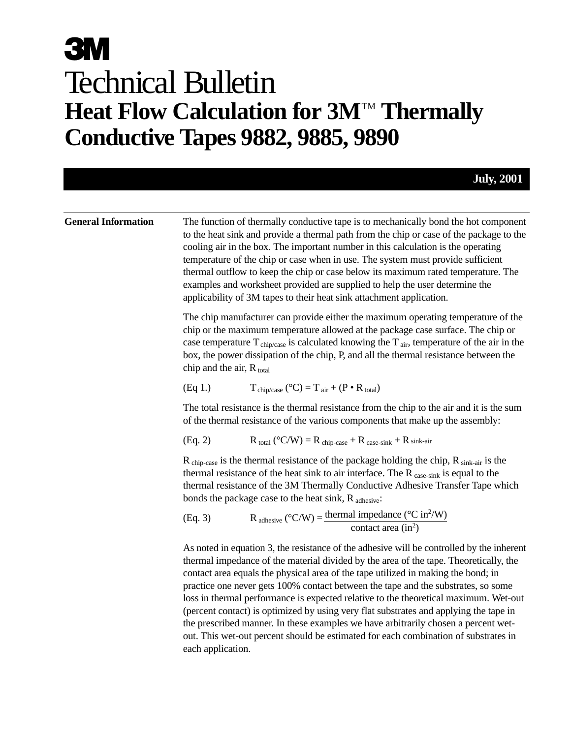#### **General Information** The function of thermally conductive tape is to mechanically bond the hot component to the heat sink and provide a thermal path from the chip or case of the package to the cooling air in the box. The important number in this calculation is the operating temperature of the chip or case when in use. The system must provide sufficient thermal outflow to keep the chip or case below its maximum rated temperature. The examples and worksheet provided are supplied to help the user determine the applicability of 3M tapes to their heat sink attachment application. The chip manufacturer can provide either the maximum operating temperature of the chip or the maximum temperature allowed at the package case surface. The chip or case temperature  $T_{\text{chip/case}}$  is calculated knowing the  $T_{\text{air}}$ , temperature of the air in the box, the power dissipation of the chip, P, and all the thermal resistance between the chip and the air,  $R_{total}$ (Eq 1.)  $T_{\text{chip/case}} (^{\circ}C) = T_{\text{air}} + (P \cdot R_{\text{total}})$ The total resistance is the thermal resistance from the chip to the air and it is the sum of the thermal resistance of the various components that make up the assembly: (Eq. 2)  $R_{total} (^{\circ}C/W) = R_{chip-case} + R_{case-sink} + R_{sink-air}$  $R_{\text{chip-case}}$  is the thermal resistance of the package holding the chip,  $R_{\text{sink-air}}$  is the thermal resistance of the heat sink to air interface. The  $R_{\text{case-sink}}$  is equal to the thermal resistance of the 3M Thermally Conductive Adhesive Transfer Tape which bonds the package case to the heat sink,  $R_{\text{adhesive}}$ : (Eq. 3) R adhesive  $({}^{\circ}C/W) = \frac{\text{thermal impedance }({}^{\circ}C \text{ in}^2/W)}{2}$ contact area  $(in^2)$ As noted in equation 3, the resistance of the adhesive will be controlled by the inherent thermal impedance of the material divided by the area of the tape. Theoretically, the contact area equals the physical area of the tape utilized in making the bond; in practice one never gets 100% contact between the tape and the substrates, so some loss in thermal performance is expected relative to the theoretical maximum. Wet-out (percent contact) is optimized by using very flat substrates and applying the tape in the prescribed manner. In these examples we have arbitrarily chosen a percent wetout. This wet-out percent should be estimated for each combination of substrates in

each application.

**July, 2001**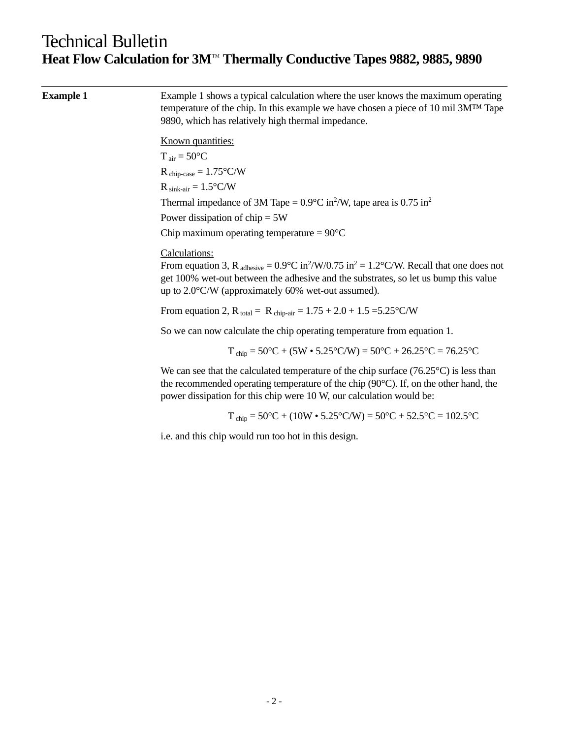| <b>Example 1</b> | Example 1 shows a typical calculation where the user knows the maximum operating<br>temperature of the chip. In this example we have chosen a piece of 10 mil $3M^{TM}$ Tape<br>9890, which has relatively high thermal impedance.                                                                           |
|------------------|--------------------------------------------------------------------------------------------------------------------------------------------------------------------------------------------------------------------------------------------------------------------------------------------------------------|
|                  | Known quantities:                                                                                                                                                                                                                                                                                            |
|                  | $T_{air} = 50^{\circ}C$                                                                                                                                                                                                                                                                                      |
|                  | $R_{chip-case} = 1.75^{\circ}C/W$                                                                                                                                                                                                                                                                            |
|                  | $R_{sink-air} = 1.5^{\circ}C/W$                                                                                                                                                                                                                                                                              |
|                  | Thermal impedance of 3M Tape = $0.9^{\circ}$ C in <sup>2</sup> /W, tape area is $0.75$ in <sup>2</sup>                                                                                                                                                                                                       |
|                  | Power dissipation of $chip = 5W$                                                                                                                                                                                                                                                                             |
|                  | Chip maximum operating temperature = $90^{\circ}$ C                                                                                                                                                                                                                                                          |
|                  | Calculations:<br>From equation 3, R $_{\text{adhesive}} = 0.9^{\circ}\text{C in}^2/\text{W}/0.75$ in <sup>2</sup> = 1.2°C/W. Recall that one does not<br>get 100% wet-out between the adhesive and the substrates, so let us bump this value<br>up to $2.0^{\circ}$ C/W (approximately 60% wet-out assumed). |
|                  | From equation 2, R total = R chip-air = $1.75 + 2.0 + 1.5 = 5.25$ °C/W                                                                                                                                                                                                                                       |
|                  | So we can now calculate the chip operating temperature from equation 1.                                                                                                                                                                                                                                      |
|                  | $T_{\text{chip}} = 50^{\circ}\text{C} + (5\text{W} \cdot 5.25^{\circ}\text{C/W}) = 50^{\circ}\text{C} + 26.25^{\circ}\text{C} = 76.25^{\circ}\text{C}$                                                                                                                                                       |
|                  | We can see that the calculated temperature of the chip surface $(76.25^{\circ}C)$ is less than<br>the recommended operating temperature of the chip $(90^{\circ}C)$ . If, on the other hand, the<br>power dissipation for this chip were 10 W, our calculation would be:                                     |
|                  | $T_{\text{chip}} = 50^{\circ}\text{C} + (10\text{W} \cdot 5.25^{\circ}\text{C/W}) = 50^{\circ}\text{C} + 52.5^{\circ}\text{C} = 102.5^{\circ}\text{C}$                                                                                                                                                       |
|                  | i.e. and this chip would run too hot in this design.                                                                                                                                                                                                                                                         |
|                  |                                                                                                                                                                                                                                                                                                              |
|                  |                                                                                                                                                                                                                                                                                                              |
|                  |                                                                                                                                                                                                                                                                                                              |
|                  |                                                                                                                                                                                                                                                                                                              |
|                  |                                                                                                                                                                                                                                                                                                              |
|                  |                                                                                                                                                                                                                                                                                                              |
|                  |                                                                                                                                                                                                                                                                                                              |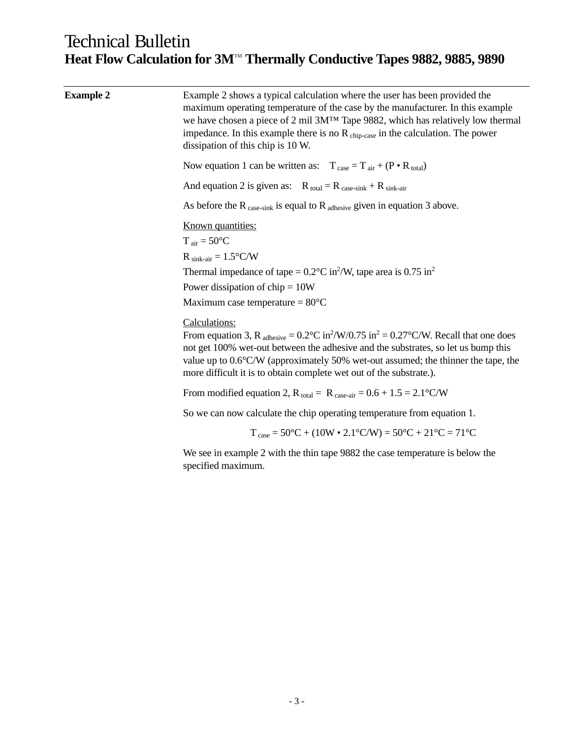| <b>Example 2</b> | Example 2 shows a typical calculation where the user has been provided the<br>maximum operating temperature of the case by the manufacturer. In this example<br>we have chosen a piece of 2 mil 3M <sup>TM</sup> Tape 9882, which has relatively low thermal<br>impedance. In this example there is no $R_{\text{chip-case}}$ in the calculation. The power<br>dissipation of this chip is 10 W.    |
|------------------|-----------------------------------------------------------------------------------------------------------------------------------------------------------------------------------------------------------------------------------------------------------------------------------------------------------------------------------------------------------------------------------------------------|
|                  | Now equation 1 can be written as: $T_{\text{case}} = T_{\text{air}} + (P \cdot R_{\text{total}})$                                                                                                                                                                                                                                                                                                   |
|                  | And equation 2 is given as: $R_{total} = R_{case-sink} + R_{sink-air}$                                                                                                                                                                                                                                                                                                                              |
|                  | As before the R $_{\text{case-sink}}$ is equal to R $_{\text{adhesive}}$ given in equation 3 above.                                                                                                                                                                                                                                                                                                 |
|                  | Known quantities:<br>$T_{air} = 50^{\circ}C$                                                                                                                                                                                                                                                                                                                                                        |
|                  | $R_{sink-air} = 1.5^{\circ}C/W$                                                                                                                                                                                                                                                                                                                                                                     |
|                  | Thermal impedance of tape = $0.2^{\circ}$ C in <sup>2</sup> /W, tape area is $0.75$ in <sup>2</sup><br>Power dissipation of $chip = 10W$                                                                                                                                                                                                                                                            |
|                  | Maximum case temperature = $80^{\circ}$ C                                                                                                                                                                                                                                                                                                                                                           |
|                  | Calculations:<br>From equation 3, R $_{\text{adhesive}} = 0.2^{\circ}\text{C in}^2/\text{W}/0.75$ in <sup>2</sup> = 0.27°C/W. Recall that one does<br>not get 100% wet-out between the adhesive and the substrates, so let us bump this<br>value up to 0.6°C/W (approximately 50% wet-out assumed; the thinner the tape, the<br>more difficult it is to obtain complete wet out of the substrate.). |
|                  | From modified equation 2, $R_{\text{total}} = R_{\text{case-air}} = 0.6 + 1.5 = 2.1 \degree \text{C/W}$                                                                                                                                                                                                                                                                                             |
|                  | So we can now calculate the chip operating temperature from equation 1.                                                                                                                                                                                                                                                                                                                             |
|                  | $T_{\text{case}} = 50^{\circ}\text{C} + (10\text{W} \cdot 2.1^{\circ}\text{C/W}) = 50^{\circ}\text{C} + 21^{\circ}\text{C} = 71^{\circ}\text{C}$                                                                                                                                                                                                                                                    |
|                  | We see in example 2 with the thin tape 9882 the case temperature is below the<br>specified maximum.                                                                                                                                                                                                                                                                                                 |
|                  |                                                                                                                                                                                                                                                                                                                                                                                                     |
|                  |                                                                                                                                                                                                                                                                                                                                                                                                     |
|                  |                                                                                                                                                                                                                                                                                                                                                                                                     |
|                  |                                                                                                                                                                                                                                                                                                                                                                                                     |
|                  |                                                                                                                                                                                                                                                                                                                                                                                                     |
|                  |                                                                                                                                                                                                                                                                                                                                                                                                     |
|                  |                                                                                                                                                                                                                                                                                                                                                                                                     |
|                  |                                                                                                                                                                                                                                                                                                                                                                                                     |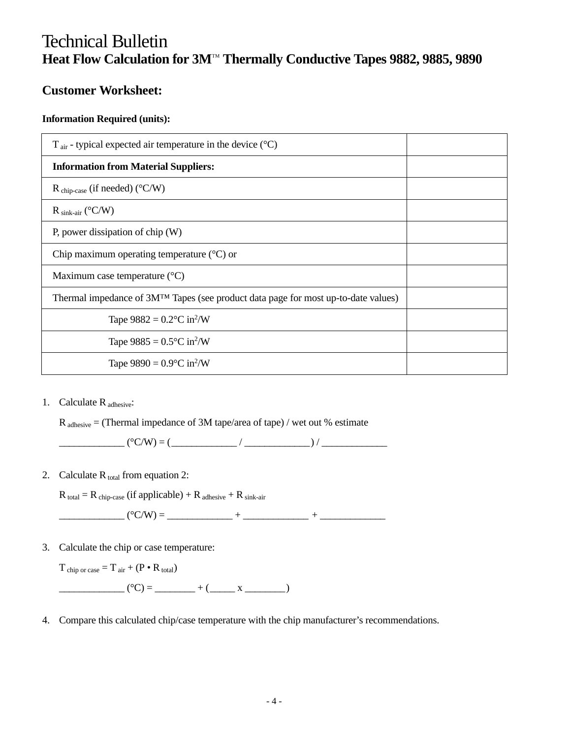#### **Customer Worksheet:**

#### **Information Required (units):**

| $T_{\text{air}}$ - typical expected air temperature in the device ( $^{\circ}$ C)              |  |  |
|------------------------------------------------------------------------------------------------|--|--|
| <b>Information from Material Suppliers:</b>                                                    |  |  |
| $R_{chip-case}$ (if needed) (°C/W)                                                             |  |  |
| $R_{sink-air}$ (°C/W)                                                                          |  |  |
| P, power dissipation of chip $(W)$                                                             |  |  |
| Chip maximum operating temperature $({}^{\circ}C)$ or                                          |  |  |
| Maximum case temperature $({}^{\circ}C)$                                                       |  |  |
| Thermal impedance of 3M <sup>TM</sup> Tapes (see product data page for most up-to-date values) |  |  |
| Tape $9882 = 0.2$ °C in <sup>2</sup> /W                                                        |  |  |
| Tape $9885 = 0.5$ °C in <sup>2</sup> /W                                                        |  |  |
| Tape $9890 = 0.9$ °C in <sup>2</sup> /W                                                        |  |  |
|                                                                                                |  |  |

1. Calculate R adhesive:

 $R_{\text{adhesive}} = (Thermal impedance of 3M tape/area of tape) / wet out % estimate$ 

 $(°C/W) = ($ 

2. Calculate  $R_{total}$  from equation 2:

 $R_{total} = R_{chip-case}$  (if applicable) +  $R_{adhesive}$  +  $R_{sink-air}$ 

\_\_\_\_\_\_\_\_\_\_\_\_\_ (°C/W) = \_\_\_\_\_\_\_\_\_\_\_\_\_ + \_\_\_\_\_\_\_\_\_\_\_\_\_ + \_\_\_\_\_\_\_\_\_\_\_\_\_

3. Calculate the chip or case temperature:

 $T_{\text{chip or case}} = T_{\text{air}} + (P \cdot R_{\text{total}})$ 

 $(C) =$   $(x - x)^2 + (y - x)^2 + (y - x)^2 + (y - x)^2 + (y - x)^2 + (y - x)^2 + (y - x)^2 + (y - x)^2 + (y - x)^2 + (y - x)^2 + (y - x)^2 + (y - x)^2 + (y - x)^2 + (y - x)^2 + (y - x)^2 + (y - x)^2 + (y - x)^2 + (y - x)^2 + (y - x)^2 + (y - x)^2 + (y - x)^2 + (y - x)^2 + (y - x)^2 + (y - x)^2 + (y - x)^2 + (y - x)^2 + (y - x)^2 + (y - x)^2 + (y - x)^2 + (y - x)^2 + (y - x)^$ 

4. Compare this calculated chip/case temperature with the chip manufacturer's recommendations.